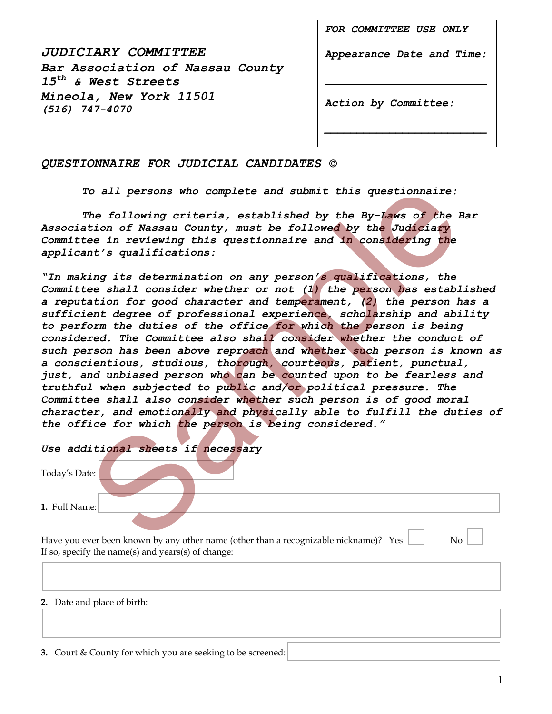*JUDICIARY COMMITTEE Bar Association of Nassau County 15th & West Streets Mineola, New York 11501 (516) 747-4070* 

*FOR COMMITTEE USE ONLY*

*Appearance Date and Time:* 

*\_\_\_\_\_\_\_\_\_\_\_\_\_\_\_\_\_\_\_\_\_\_\_\_\_*

*Action by Committee:*

## *QUESTIONNAIRE FOR JUDICIAL CANDIDATES ©*

*To all persons who complete and submit this questionnaire:* 

*The following criteria, established by the By-Laws of the Bar Association of Nassau County, must be followed by the Judiciary Committee in reviewing this questionnaire and in considering the applicant's qualifications:* 

*"In making its determination on any person's qualifications, the Committee shall consider whether or not (1) the person has established a reputation for good character and temperament, (2) the person has a sufficient degree of professional experience, scholarship and ability*  to perform the duties of the office for which the person is being *considered. The Committee also shall consider whether the conduct of such person has been above reproach and whether such person is known as a conscientious, studious, thorough, courteous, patient, punctual, just, and unbiased person who can be counted upon to be fearless and truthful when subjected to public and/or political pressure. The Committee shall also consider whether such person is of good moral character, and emotionally and physically able to fulfill the duties of the office for which the person is being considered."* To all persons who complete and submit this questionnaire:<br>The following criteria, established by the By-Laws of the limin of Nassau County, must be followed by the Judiciary<br>tion of Nassau County, must be followed by the

|               | Use additional sheets if necessary |  |  |
|---------------|------------------------------------|--|--|
| Today's Date: |                                    |  |  |
| 1. Full Name: |                                    |  |  |
|               |                                    |  |  |

Have you ever been known by any other name (other than a recognizable nickname)? Yes  $\Box$  No  $\Box$ If so, specify the name(s) and years(s) of change:

## **2.** Date and place of birth:

**3.** Court & County for which you are seeking to be screened: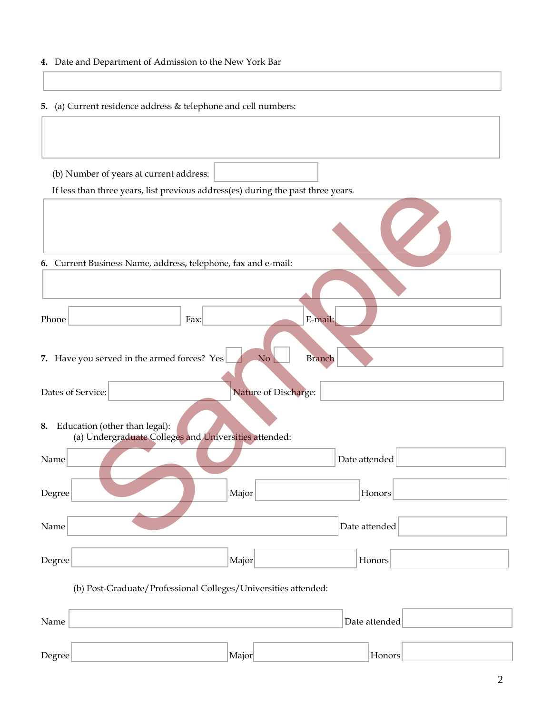## **4.** Date and Department of Admission to the New York Bar

**5.** (a) Current residence address & telephone and cell numbers:

(b) Number of years at current address:

If less than three years, list previous address(es) during the past three years.

|                                                                                              | If less than three years, list previous address(es) during the past three years. |
|----------------------------------------------------------------------------------------------|----------------------------------------------------------------------------------|
|                                                                                              |                                                                                  |
| 6. Current Business Name, address, telephone, fax and e-mail:                                |                                                                                  |
|                                                                                              |                                                                                  |
| Phone                                                                                        | E-mail:<br>Fax:                                                                  |
| 7. Have you served in the armed forces? Yes                                                  | N <sub>o</sub><br><b>Branch</b>                                                  |
| Dates of Service:                                                                            | Nature of Discharge:                                                             |
| Education (other than legal):<br>8.<br>(a) Undergraduate Colleges and Universities attended: |                                                                                  |
| Name                                                                                         | Date attended                                                                    |
| Degree                                                                                       | Major<br>Honors                                                                  |
| Name                                                                                         | Date attended                                                                    |
| Degree                                                                                       | Major<br>Honors                                                                  |
|                                                                                              | (b) Post-Graduate/Professional Colleges/Universities attended:                   |
| Name                                                                                         | Date attended                                                                    |
|                                                                                              |                                                                                  |

Degree Honors Major Major Honors (Honors Major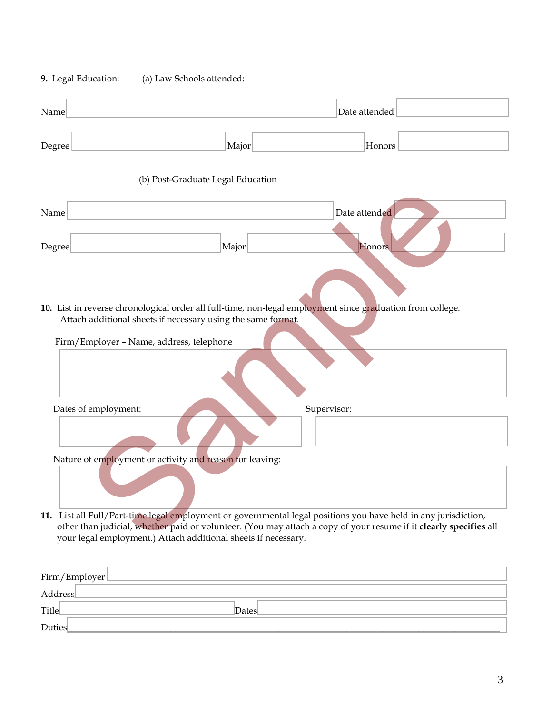| Name                                     |                                                                       | Date attended                                                                                                                                                                                                                        |
|------------------------------------------|-----------------------------------------------------------------------|--------------------------------------------------------------------------------------------------------------------------------------------------------------------------------------------------------------------------------------|
| Degree                                   | Major                                                                 | Honors                                                                                                                                                                                                                               |
|                                          | (b) Post-Graduate Legal Education                                     |                                                                                                                                                                                                                                      |
| Name                                     |                                                                       | Date attended                                                                                                                                                                                                                        |
| Degree                                   | Major<br>Attach additional sheets if necessary using the same format. | Honors<br>10. List in reverse chronological order all full-time, non-legal employment since graduation from college.                                                                                                                 |
| Firm/Employer - Name, address, telephone |                                                                       |                                                                                                                                                                                                                                      |
| Dates of employment:                     |                                                                       | Supervisor:                                                                                                                                                                                                                          |
|                                          | Nature of employment or activity and reason for leaving:              |                                                                                                                                                                                                                                      |
|                                          | your legal employment.) Attach additional sheets if necessary.        | 11. List all Full/Part-time legal employment or governmental legal positions you have held in any jurisdiction,<br>other than judicial, whether paid or volunteer. (You may attach a copy of your resume if it clearly specifies all |

**9.** Legal Education: (a) Law Schools attended:

| Firm/Employer |       |
|---------------|-------|
| Address       |       |
| Title         | Dates |
| <b>Duties</b> |       |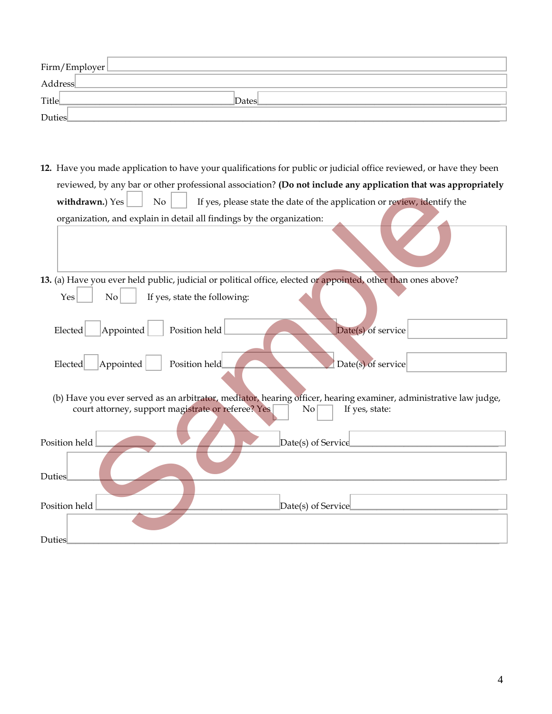| Firm/Employer |       |  |
|---------------|-------|--|
| Address       |       |  |
| Title         | Dates |  |
| Duties        |       |  |

- **12.** Have you made application to have your qualifications for public or judicial office reviewed, or have they been reviewed, by any bar or other professional association? **(Do not include any application that was appropriately withdrawn.**) Yes  $\Box$  No  $\Box$  If yes, please state the date of the application or review, identify the organization, and explain in detail all findings by the organization:
- **13.** (a) Have you ever held public, judicial or political office, elected or appointed, other than ones above?  $\begin{array}{|c|c|c|c|c|}\n\hline\n\end{array}$  No  $\begin{array}{|c|c|c|c|}\n\hline\n\end{array}$  If yes, state the following:

| Appointed<br>Elected | Position held |  | $Date(s)$ of service |  |
|----------------------|---------------|--|----------------------|--|
|                      |               |  |                      |  |
| Appointed<br>Elected | Position held |  | Date(s) of service   |  |

| Teviewed, by any bar of other professional association: (D0 not include any application that was appropriately                                                                                  |
|-------------------------------------------------------------------------------------------------------------------------------------------------------------------------------------------------|
| withdrawn.) Yes<br>No<br>If yes, please state the date of the application or review, identify the                                                                                               |
| organization, and explain in detail all findings by the organization:                                                                                                                           |
|                                                                                                                                                                                                 |
| 13. (a) Have you ever held public, judicial or political office, elected or appointed, other than ones above?                                                                                   |
| If yes, state the following:<br>Yes<br>No                                                                                                                                                       |
| Elected<br>Appointed<br>Position held<br>Date(s) of service                                                                                                                                     |
| Position held<br>Date(s) of service<br>Appointed<br>Elected                                                                                                                                     |
| (b) Have you ever served as an arbitrator, mediator, hearing officer, hearing examiner, administrative law judge,<br>court attorney, support magistrate or referee? Yes<br>If yes, state:<br>No |
| Position held<br>Date(s) of Service                                                                                                                                                             |
| <b>Duties</b>                                                                                                                                                                                   |
| Position held<br>Date(s) of Service                                                                                                                                                             |
|                                                                                                                                                                                                 |
| Duties                                                                                                                                                                                          |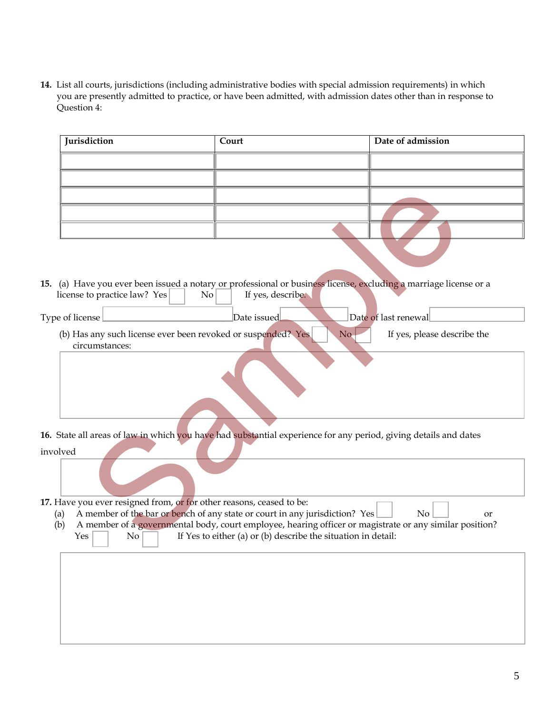**14.** List all courts, jurisdictions (including administrative bodies with special admission requirements) in which you are presently admitted to practice, or have been admitted, with admission dates other than in response to Question 4:

| Jurisdiction                                                                                                        | Court                                                                                                                                        | Date of admission                                                                                                   |
|---------------------------------------------------------------------------------------------------------------------|----------------------------------------------------------------------------------------------------------------------------------------------|---------------------------------------------------------------------------------------------------------------------|
|                                                                                                                     |                                                                                                                                              |                                                                                                                     |
|                                                                                                                     |                                                                                                                                              |                                                                                                                     |
|                                                                                                                     |                                                                                                                                              |                                                                                                                     |
|                                                                                                                     |                                                                                                                                              |                                                                                                                     |
|                                                                                                                     |                                                                                                                                              |                                                                                                                     |
|                                                                                                                     |                                                                                                                                              |                                                                                                                     |
| license to practice law? Yes                                                                                        | If yes, describe.<br>$\rm{No}$                                                                                                               | 15. (a) Have you ever been issued a notary or professional or business license, excluding a marriage license or a   |
| Type of license                                                                                                     | Date issued                                                                                                                                  | Date of last renewal                                                                                                |
| (b) Has any such license ever been revoked or suspended? Yes<br>circumstances:                                      |                                                                                                                                              | If yes, please describe the<br>No-                                                                                  |
|                                                                                                                     |                                                                                                                                              |                                                                                                                     |
| involved                                                                                                            | 16. State all areas of law in which you have had substantial experience for any period, giving details and dates                             |                                                                                                                     |
|                                                                                                                     |                                                                                                                                              |                                                                                                                     |
| 17. Have you ever resigned from, or for other reasons, ceased to be:<br>(a)<br>(b)<br>$Yes \mid$<br>$\overline{No}$ | A member of the bar or bench of any state or court in any jurisdiction? Yes<br>If Yes to either (a) or (b) describe the situation in detail: | No<br>or<br>A member of a governmental body, court employee, hearing officer or magistrate or any similar position? |
|                                                                                                                     |                                                                                                                                              |                                                                                                                     |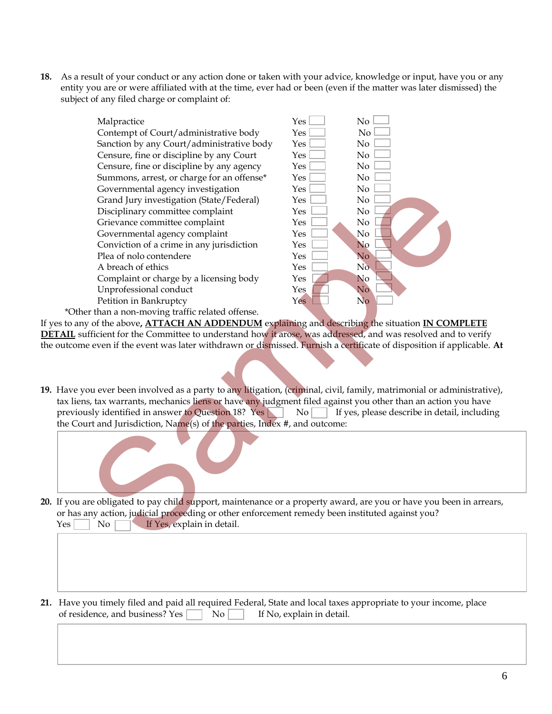**18.** As a result of your conduct or any action done or taken with your advice, knowledge or input, have you or any entity you are or were affiliated with at the time, ever had or been (even if the matter was later dismissed) the subject of any filed charge or complaint of:



If yes to any of the above**, ATTACH AN ADDENDUM** explaining and describing the situation **IN COMPLETE DETAIL** sufficient for the Committee to understand how it arose, was addressed, and was resolved and to verify the outcome even if the event was later withdrawn or dismissed. Furnish a certificate of disposition if applicable. **At** 

**19.** Have you ever been involved as a party to any litigation, (criminal, civil, family, matrimonial or administrative), tax liens, tax warrants, mechanics liens or have any judgment filed against you other than an action you have previously identified in answer to Question 18? Yes  $\Box$  No  $\Box$  If yes, please describe in detail, including the Court and Jurisdiction, Name(s) of the parties, Index #, and outcome:



- **20.** If you are obligated to pay child support, maintenance or a property award, are you or have you been in arrears, or has any action, judicial proceeding or other enforcement remedy been instituted against you? Yes No **If** Yes, explain in detail.
- **21.** Have you timely filed and paid all required Federal, State and local taxes appropriate to your income, place of residence, and business? Yes  $\Box$  No If No, explain in detail.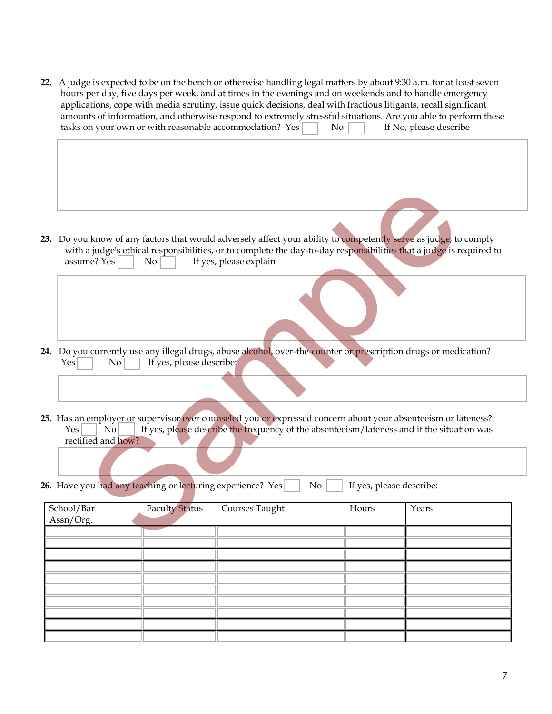**22.** A judge is expected to be on the bench or otherwise handling legal matters by about 9:30 a.m. for at least seven hours per day, five days per week, and at times in the evenings and on weekends and to handle emergency applications, cope with media scrutiny, issue quick decisions, deal with fractious litigants, recall significant amounts of information, and otherwise respond to extremely stressful situations. Are you able to perform these tasks on your own or with reasonable accommodation? Yes  $\Box$  No If No, please describe

- **24.** Do you currently use any illegal drugs, abuse alcohol, over-the-counter or prescription drugs or medication?  $Yes \frown No \frown if yes, please describe;$
- **25.** Has an employer or supervisor ever counseled you or expressed concern about your absenteeism or lateness? Yes  $\vert$  No  $\vert$  If yes, please describe the frequency of the absenteeism/lateness and if the situation was rectified and how?
- **26.** Have you had any teaching or lecturing experience? Yes  $\vert$  No  $\vert$  If yes, please describe:

| assume? Yes                                                | No                       | 23. Do you know of any factors that would adversely affect your ability to competently serve as judge, to comply<br>with a judge's ethical responsibilities, or to complete the day-to-day responsibilities that a judge is required to<br>If yes, please explain |                          |       |
|------------------------------------------------------------|--------------------------|-------------------------------------------------------------------------------------------------------------------------------------------------------------------------------------------------------------------------------------------------------------------|--------------------------|-------|
|                                                            |                          |                                                                                                                                                                                                                                                                   |                          |       |
| Yes<br>No                                                  | If yes, please describe; | 24. Do you currently use any illegal drugs, abuse alcohol, over-the-counter or prescription drugs or medication?                                                                                                                                                  |                          |       |
|                                                            |                          |                                                                                                                                                                                                                                                                   |                          |       |
| Yes<br>No<br>rectified and how?                            |                          | 25. Has an employer or supervisor ever counseled you or expressed concern about your absenteeism or lateness?<br>If yes, please describe the frequency of the absenteeism/lateness and if the situation was                                                       |                          |       |
|                                                            |                          |                                                                                                                                                                                                                                                                   |                          |       |
| 26. Have you had any teaching or lecturing experience? Yes |                          | No                                                                                                                                                                                                                                                                | If yes, please describe: |       |
| School/Bar<br>Assn/Org.                                    | <b>Faculty Status</b>    | Courses Taught                                                                                                                                                                                                                                                    | Hours                    | Years |
|                                                            |                          |                                                                                                                                                                                                                                                                   |                          |       |
|                                                            |                          |                                                                                                                                                                                                                                                                   |                          |       |
|                                                            |                          |                                                                                                                                                                                                                                                                   |                          |       |
|                                                            |                          |                                                                                                                                                                                                                                                                   |                          |       |
|                                                            |                          |                                                                                                                                                                                                                                                                   |                          |       |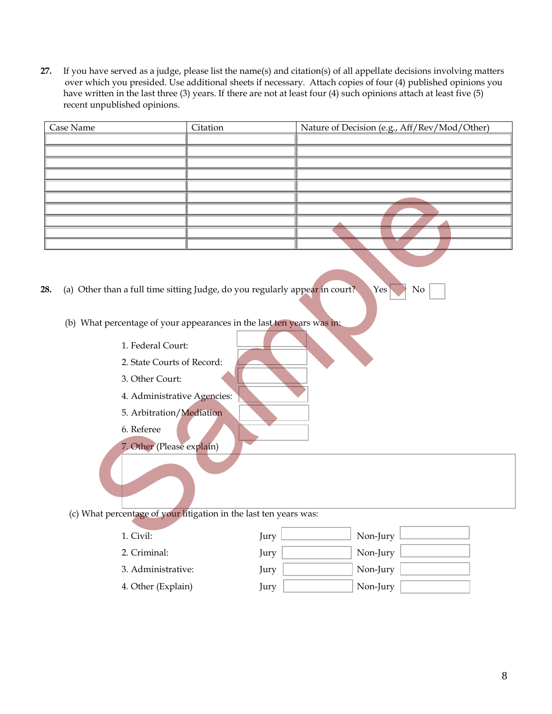**27.** If you have served as a judge, please list the name(s) and citation(s) of all appellate decisions involving matters over which you presided. Use additional sheets if necessary. Attach copies of four (4) published opinions you have written in the last three (3) years. If there are not at least four (4) such opinions attach at least five (5) recent unpublished opinions.

| Case Name | Citation                                                          | Nature of Decision (e.g., Aff/Rev/Mod/Other)                                                   |
|-----------|-------------------------------------------------------------------|------------------------------------------------------------------------------------------------|
|           |                                                                   |                                                                                                |
|           |                                                                   |                                                                                                |
|           |                                                                   |                                                                                                |
|           |                                                                   |                                                                                                |
|           |                                                                   |                                                                                                |
|           |                                                                   |                                                                                                |
|           |                                                                   |                                                                                                |
|           |                                                                   |                                                                                                |
|           |                                                                   |                                                                                                |
| 28.       |                                                                   | (a) Other than a full time sitting Judge, do you regularly appear in court?<br>$\rm No$<br>Yes |
|           |                                                                   |                                                                                                |
|           |                                                                   |                                                                                                |
|           |                                                                   | (b) What percentage of your appearances in the last ten years was in:                          |
|           | 1. Federal Court:                                                 |                                                                                                |
|           | 2. State Courts of Record:                                        |                                                                                                |
|           | 3. Other Court:                                                   |                                                                                                |
|           | 4. Administrative Agencies:                                       |                                                                                                |
|           | 5. Arbitration/Mediation                                          |                                                                                                |
|           | 6. Referee                                                        |                                                                                                |
|           | 7. Other (Please explain)                                         |                                                                                                |
|           |                                                                   |                                                                                                |
|           |                                                                   |                                                                                                |
|           |                                                                   |                                                                                                |
|           |                                                                   |                                                                                                |
|           | (c) What percentage of your litigation in the last ten years was: |                                                                                                |
|           | 1. Civil:                                                         | Non-Jury<br>Jury                                                                               |
|           |                                                                   |                                                                                                |

| 1. Civil:          | Jury | Non-Jury |
|--------------------|------|----------|
| 2. Criminal:       | Jury | Non-Jury |
| 3. Administrative: | Jury | Non-Jury |
| 4. Other (Explain) | Jury | Non-Jury |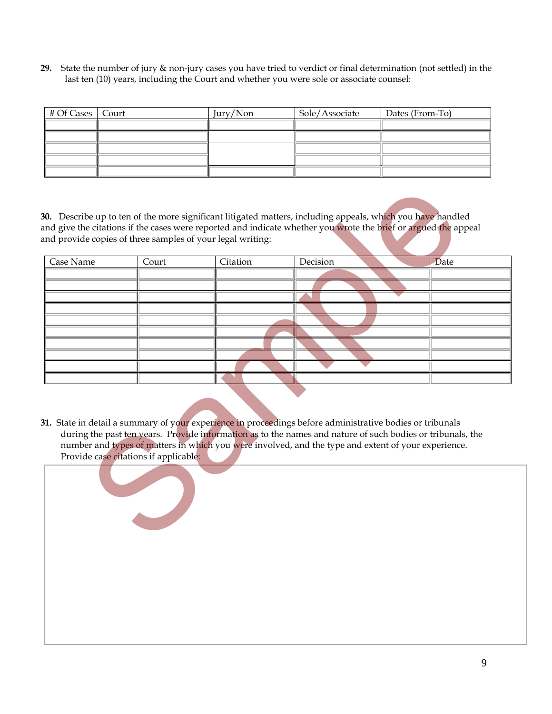**29.** State the number of jury & non-jury cases you have tried to verdict or final determination (not settled) in the last ten (10) years, including the Court and whether you were sole or associate counsel:

| # Of Cases   Court | Jury/Non | Sole/Associate | Dates (From-To) |
|--------------------|----------|----------------|-----------------|
|                    |          |                |                 |
|                    |          |                |                 |
|                    |          |                |                 |
|                    |          |                |                 |
|                    |          |                |                 |

| Case Name | Court                                 | Citation | Decision                                                                                                                                                                                                         | <b>Date</b>                                                                                                |
|-----------|---------------------------------------|----------|------------------------------------------------------------------------------------------------------------------------------------------------------------------------------------------------------------------|------------------------------------------------------------------------------------------------------------|
|           |                                       |          |                                                                                                                                                                                                                  |                                                                                                            |
|           |                                       |          |                                                                                                                                                                                                                  |                                                                                                            |
|           |                                       |          |                                                                                                                                                                                                                  |                                                                                                            |
|           |                                       |          |                                                                                                                                                                                                                  |                                                                                                            |
|           |                                       |          |                                                                                                                                                                                                                  |                                                                                                            |
|           | Provide case citations if applicable: |          | 31. State in detail a summary of your experience in proceedings before administrative bodies or tribunals<br>number and types of matters in which you were involved, and the type and extent of your experience. | during the past ten years. Provide information as to the names and nature of such bodies or tribunals, the |

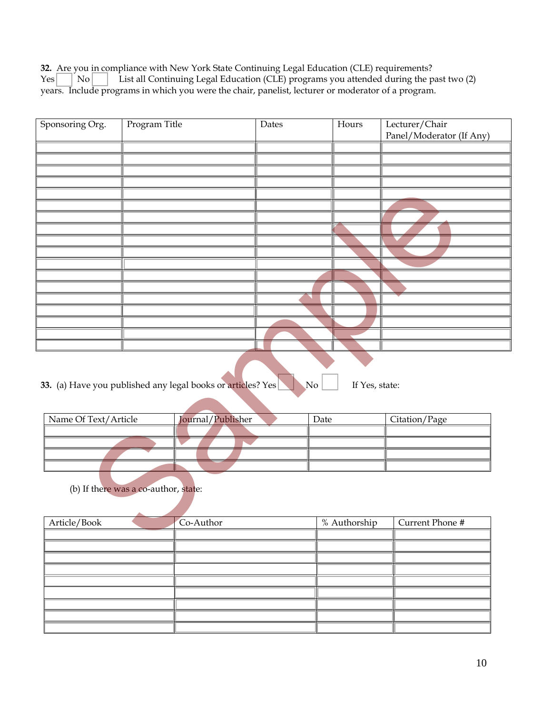**32.** Are you in compliance with New York State Continuing Legal Education (CLE) requirements?  $Yes \begin{bmatrix} | & No | & \end{bmatrix}$  List all Continuing Legal Education (CLE) programs you attended during the past two (2) years. Include programs in which you were the chair, panelist, lecturer or moderator of a program.

| Sponsoring Org.      | Program Title                        |                                                             | Dates          | Hours        |                | Lecturer/Chair<br>Panel/Moderator (If Any) |
|----------------------|--------------------------------------|-------------------------------------------------------------|----------------|--------------|----------------|--------------------------------------------|
|                      |                                      |                                                             |                |              |                |                                            |
|                      |                                      |                                                             |                |              |                |                                            |
|                      |                                      |                                                             |                |              |                |                                            |
|                      |                                      |                                                             |                |              |                |                                            |
|                      |                                      |                                                             |                |              |                |                                            |
|                      |                                      |                                                             |                |              |                |                                            |
|                      |                                      |                                                             |                |              |                |                                            |
|                      |                                      |                                                             |                |              |                |                                            |
|                      |                                      |                                                             |                |              |                |                                            |
|                      |                                      |                                                             |                |              |                |                                            |
|                      |                                      |                                                             |                |              |                |                                            |
|                      |                                      |                                                             |                |              |                |                                            |
|                      |                                      |                                                             |                |              |                |                                            |
|                      |                                      |                                                             |                |              |                |                                            |
|                      |                                      |                                                             |                |              |                |                                            |
|                      |                                      |                                                             |                |              |                |                                            |
|                      |                                      |                                                             |                |              |                |                                            |
|                      |                                      |                                                             |                |              |                |                                            |
|                      |                                      | 33. (a) Have you published any legal books or articles? Yes | N <sub>o</sub> |              | If Yes, state: |                                            |
| Name Of Text/Article |                                      | Journal/Publisher                                           |                | Date         |                | Citation/Page                              |
|                      |                                      |                                                             |                |              |                |                                            |
|                      |                                      |                                                             |                |              |                |                                            |
|                      |                                      |                                                             |                |              |                |                                            |
|                      |                                      |                                                             |                |              |                |                                            |
|                      | (b) If there was a co-author, state: |                                                             |                |              |                |                                            |
| Article/Book         |                                      | Co-Author                                                   |                | % Authorship |                | Current Phone #                            |
|                      |                                      |                                                             |                |              |                |                                            |
|                      |                                      |                                                             |                |              |                |                                            |

**33.** (a) Have you published any legal books or articles? Yes No If Yes, state:

| Name Of Text/Article | Journal/Publisher | Date | Citation/Page |
|----------------------|-------------------|------|---------------|
|                      |                   |      |               |
|                      |                   |      |               |
|                      |                   |      |               |
|                      |                   |      |               |

| Article/Book | Co-Author | % Authorship | Current Phone # |
|--------------|-----------|--------------|-----------------|
|              |           |              |                 |
|              |           |              |                 |
|              |           |              |                 |
|              |           |              |                 |
|              |           |              |                 |
|              |           |              |                 |
|              |           |              |                 |
|              |           |              |                 |
|              |           |              |                 |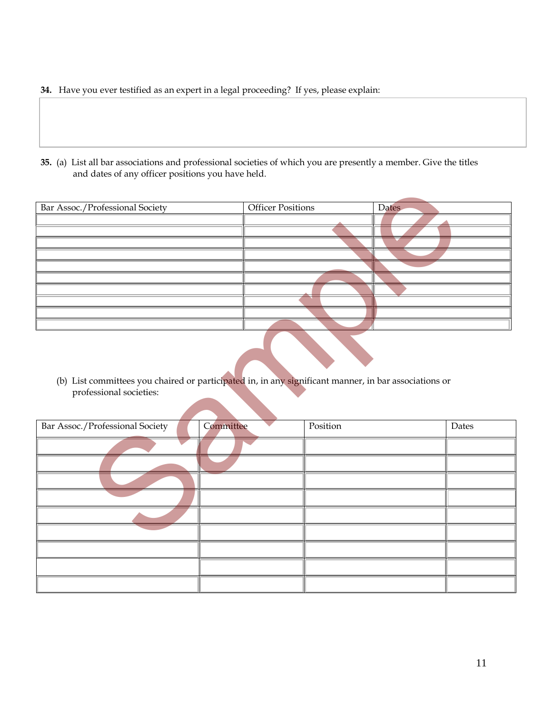- **34.** Have you ever testified as an expert in a legal proceeding? If yes, please explain:
- **35.** (a) List all bar associations and professional societies of which you are presently a member. Give the titles and dates of any officer positions you have held.

| Bar Assoc./Professional Society                                                                                                  | <b>Officer Positions</b> |          | <b>Dates</b> |       |
|----------------------------------------------------------------------------------------------------------------------------------|--------------------------|----------|--------------|-------|
|                                                                                                                                  |                          |          |              |       |
|                                                                                                                                  |                          |          |              |       |
|                                                                                                                                  |                          |          |              |       |
|                                                                                                                                  |                          |          |              |       |
|                                                                                                                                  |                          |          |              |       |
|                                                                                                                                  |                          |          |              |       |
|                                                                                                                                  |                          |          |              |       |
|                                                                                                                                  |                          |          |              |       |
|                                                                                                                                  |                          |          |              |       |
| (b) List committees you chaired or participated in, in any significant manner, in bar associations or<br>professional societies: |                          |          |              |       |
| Bar Assoc./Professional Society                                                                                                  | Committee                | Position |              | Dates |
|                                                                                                                                  |                          |          |              |       |
|                                                                                                                                  |                          |          |              |       |
|                                                                                                                                  |                          |          |              |       |
|                                                                                                                                  |                          |          |              |       |
|                                                                                                                                  |                          |          |              |       |
|                                                                                                                                  |                          |          |              |       |

| Bar Assoc./Professional Society | Committee | Position | Dates |
|---------------------------------|-----------|----------|-------|
|                                 |           |          |       |
|                                 |           |          |       |
|                                 |           |          |       |
|                                 |           |          |       |
|                                 |           |          |       |
|                                 |           |          |       |
|                                 |           |          |       |
|                                 |           |          |       |
|                                 |           |          |       |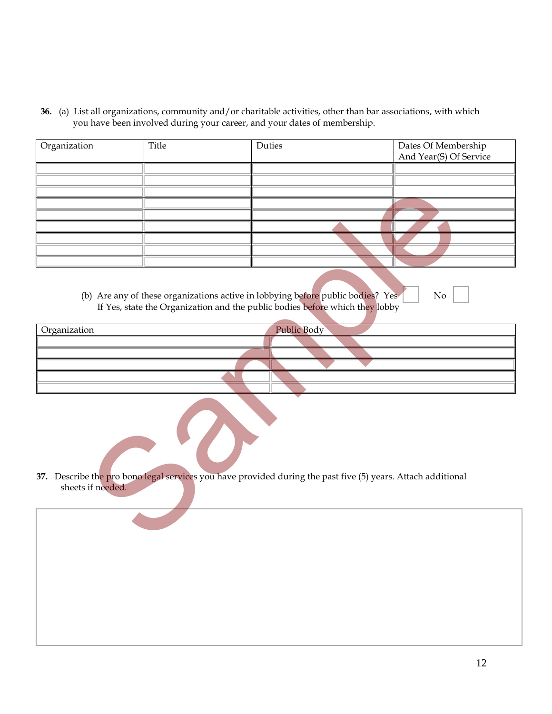**36.** (a) List all organizations, community and/or charitable activities, other than bar associations, with which you have been involved during your career, and your dates of membership.

| Organization      | Title | Duties                                                                                                                                                                                | Dates Of Membership<br>And Year(S) Of Service |
|-------------------|-------|---------------------------------------------------------------------------------------------------------------------------------------------------------------------------------------|-----------------------------------------------|
|                   |       |                                                                                                                                                                                       |                                               |
|                   |       |                                                                                                                                                                                       |                                               |
|                   |       |                                                                                                                                                                                       |                                               |
|                   |       |                                                                                                                                                                                       |                                               |
|                   |       |                                                                                                                                                                                       |                                               |
|                   |       |                                                                                                                                                                                       |                                               |
|                   |       |                                                                                                                                                                                       |                                               |
|                   |       |                                                                                                                                                                                       |                                               |
|                   |       |                                                                                                                                                                                       |                                               |
| Organization      |       | (b) Are any of these organizations active in lobbying before public bodies? Yes<br>If Yes, state the Organization and the public bodies before which they lobby<br><b>Public Body</b> | No                                            |
|                   |       |                                                                                                                                                                                       |                                               |
|                   |       |                                                                                                                                                                                       |                                               |
|                   |       |                                                                                                                                                                                       |                                               |
|                   |       |                                                                                                                                                                                       |                                               |
|                   |       |                                                                                                                                                                                       |                                               |
|                   |       | 37. Describe the pro bono legal services you have provided during the past five (5) years. Attach additional                                                                          |                                               |
| sheets if needed. |       |                                                                                                                                                                                       |                                               |
|                   |       |                                                                                                                                                                                       |                                               |

| Public Body |
|-------------|
|             |
|             |
|             |
|             |
|             |
|             |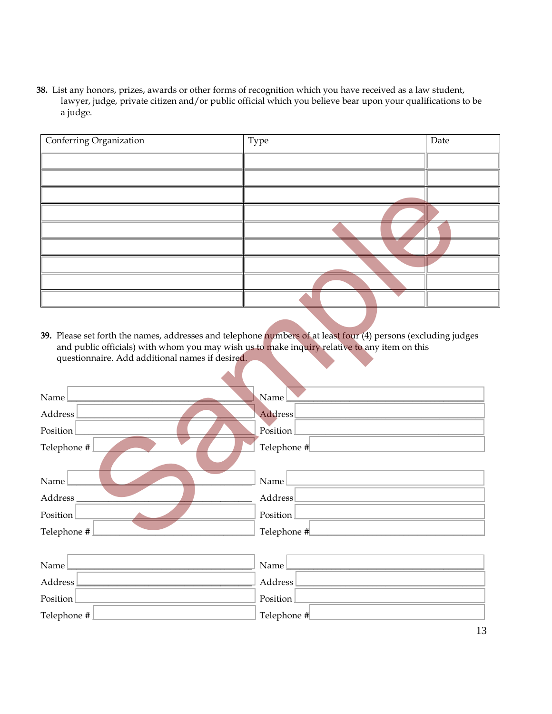**38.** List any honors, prizes, awards or other forms of recognition which you have received as a law student, lawyer, judge, private citizen and/or public official which you believe bear upon your qualifications to be a judge.

| Conferring Organization | Type | Date |
|-------------------------|------|------|
|                         |      |      |
|                         |      |      |
|                         |      |      |
|                         |      |      |
|                         |      |      |
|                         |      |      |
|                         |      |      |
|                         |      |      |
|                         |      |      |

| questionnaire. Add additional names if desired. | 39. Please set forth the names, addresses and telephone numbers of at least four (4) persons (excluding judges<br>and public officials) with whom you may wish us to make inquiry relative to any item on this |
|-------------------------------------------------|----------------------------------------------------------------------------------------------------------------------------------------------------------------------------------------------------------------|
| Name                                            | Name                                                                                                                                                                                                           |
| Address                                         | Address                                                                                                                                                                                                        |
| Position                                        | Position<br>the control of the control of the                                                                                                                                                                  |
| Telephone #                                     | Telephone #                                                                                                                                                                                                    |
|                                                 |                                                                                                                                                                                                                |
| Name                                            | Name                                                                                                                                                                                                           |
| Address                                         | Address                                                                                                                                                                                                        |
| Position                                        | Position                                                                                                                                                                                                       |
| Telephone #                                     | Telephone #                                                                                                                                                                                                    |
|                                                 |                                                                                                                                                                                                                |
| Name                                            | Name                                                                                                                                                                                                           |
| Address                                         | <b>Address</b>                                                                                                                                                                                                 |
| Position                                        | Position                                                                                                                                                                                                       |
| Telephone #                                     | Telephone #                                                                                                                                                                                                    |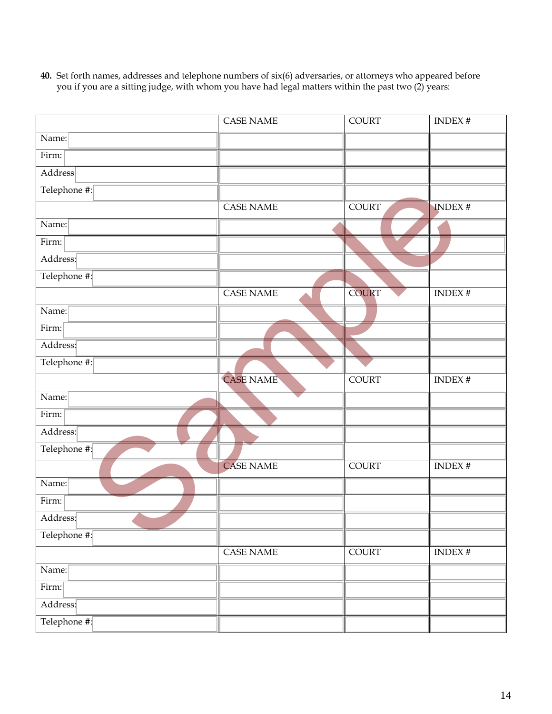- CASE NAME COURT INDEX # Name: Firm: Address: Telephone #: CASE NAME COURT NIDEX # Name: Firm: Address: Telephone #: CASE NAME COURT INDEX # Name: Firm: Address: Telephone #: CASE NAME COURT INDEX # Name: Firm: Address: Telephone #: CASE NAME COURT INDEX # Name: Firm: Address: Telephone #: CASE NAME COURT INDEX # Name: Firm: Address: Telephone #: Sample
- **40.** Set forth names, addresses and telephone numbers of six(6) adversaries, or attorneys who appeared before you if you are a sitting judge, with whom you have had legal matters within the past two (2) years: